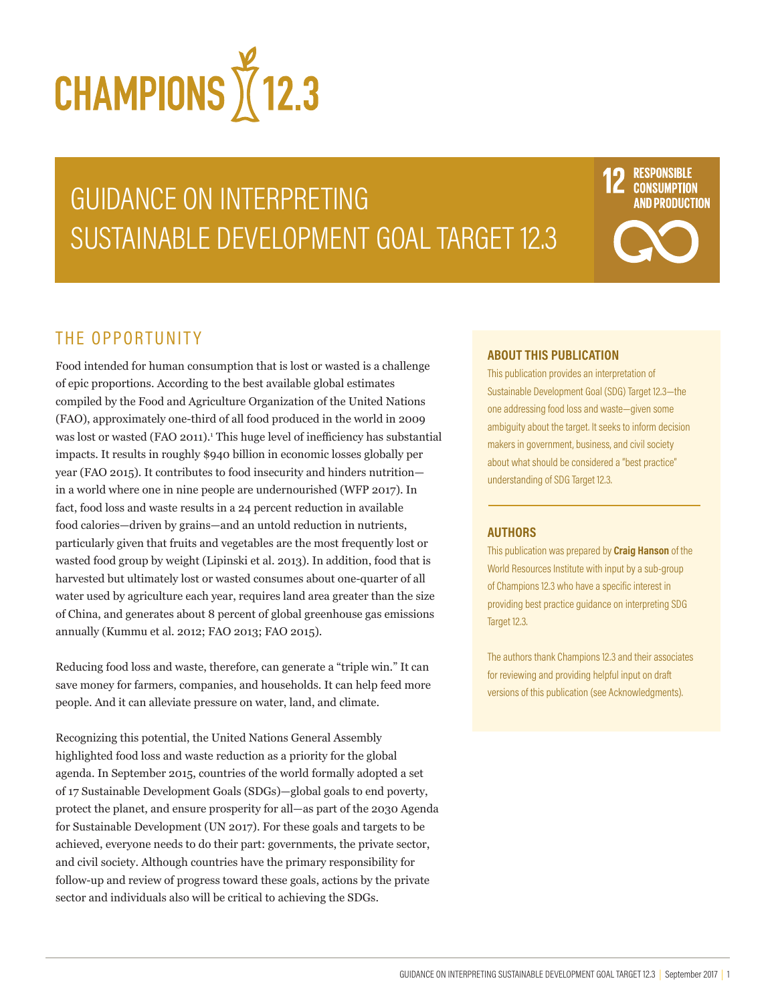

# GUIDANCE ON INTERPRETING SUSTAINABLE DEVELOPMENT GOAL TARGET 12.3

## **RESPONSIBLE CONSUMPTION IND PRODUCTION**

## THE OPPORTUNITY

Food intended for human consumption that is lost or wasted is a challenge of epic proportions. According to the best available global estimates compiled by the Food and Agriculture Organization of the United Nations (FAO), approximately one-third of all food produced in the world in 2009 was lost or wasted (FAO 2011).<sup>1</sup> This huge level of inefficiency has substantial impacts. It results in roughly \$940 billion in economic losses globally per year (FAO 2015). It contributes to food insecurity and hinders nutrition in a world where one in nine people are undernourished (WFP 2017). In fact, food loss and waste results in a 24 percent reduction in available food calories—driven by grains—and an untold reduction in nutrients, particularly given that fruits and vegetables are the most frequently lost or wasted food group by weight (Lipinski et al. 2013). In addition, food that is harvested but ultimately lost or wasted consumes about one-quarter of all water used by agriculture each year, requires land area greater than the size of China, and generates about 8 percent of global greenhouse gas emissions annually (Kummu et al. 2012; FAO 2013; FAO 2015).

Reducing food loss and waste, therefore, can generate a "triple win." It can save money for farmers, companies, and households. It can help feed more people. And it can alleviate pressure on water, land, and climate.

Recognizing this potential, the United Nations General Assembly highlighted food loss and waste reduction as a priority for the global agenda. In September 2015, countries of the world formally adopted a set of 17 Sustainable Development Goals (SDGs)—global goals to end poverty, protect the planet, and ensure prosperity for all—as part of the 2030 Agenda for Sustainable Development (UN 2017). For these goals and targets to be achieved, everyone needs to do their part: governments, the private sector, and civil society. Although countries have the primary responsibility for follow-up and review of progress toward these goals, actions by the private sector and individuals also will be critical to achieving the SDGs.

#### **ABOUT THIS PUBLICATION**

This publication provides an interpretation of Sustainable Development Goal (SDG) Target 12.3—the one addressing food loss and waste—given some ambiguity about the target. It seeks to inform decision makers in government, business, and civil society about what should be considered a "best practice" understanding of SDG Target 12.3.

#### **AUTHORS**

This publication was prepared by **Craig Hanson** of the World Resources Institute with input by a sub-group of Champions 12.3 who have a specific interest in providing best practice guidance on interpreting SDG Target 12.3.

The authors thank Champions 12.3 and their associates for reviewing and providing helpful input on draft versions of this publication (see Acknowledgments).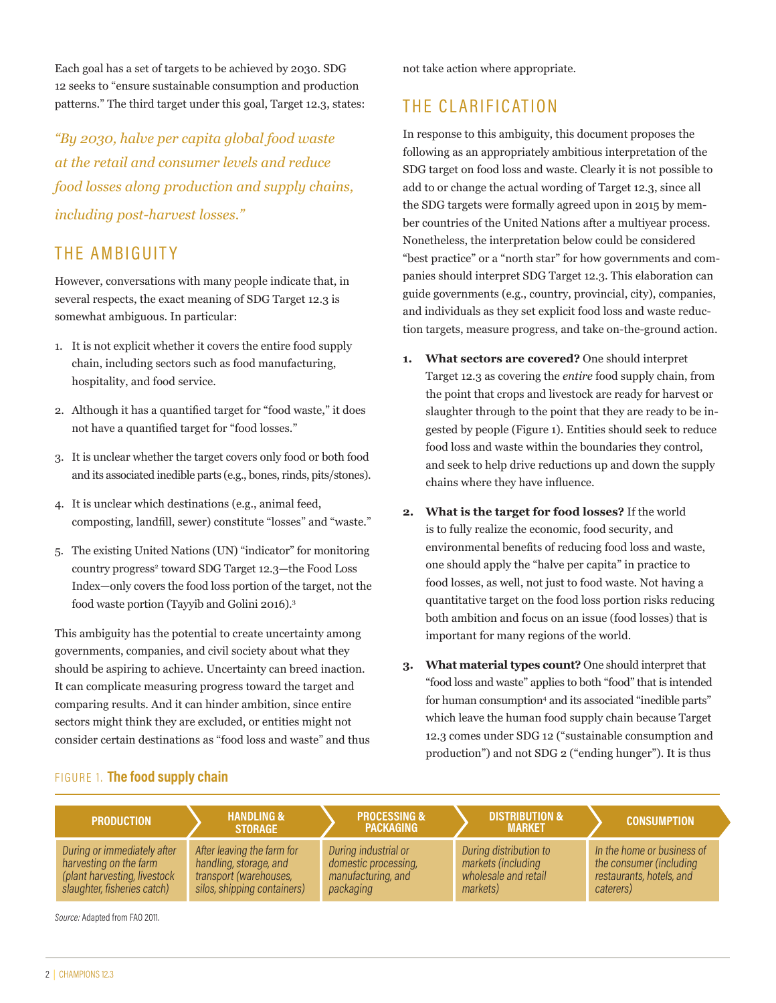Each goal has a set of targets to be achieved by 2030. SDG 12 seeks to "ensure sustainable consumption and production patterns." The third target under this goal, Target 12.3, states:

*"By 2030, halve per capita global food waste at the retail and consumer levels and reduce food losses along production and supply chains, including post-harvest losses."* 

## THE AMBIGUITY

However, conversations with many people indicate that, in several respects, the exact meaning of SDG Target 12.3 is somewhat ambiguous. In particular:

- 1. It is not explicit whether it covers the entire food supply chain, including sectors such as food manufacturing, hospitality, and food service.
- 2. Although it has a quantified target for "food waste," it does not have a quantified target for "food losses."
- 3. It is unclear whether the target covers only food or both food and its associated inedible parts (e.g., bones, rinds, pits/stones).
- 4. It is unclear which destinations (e.g., animal feed, composting, landfill, sewer) constitute "losses" and "waste."
- 5. The existing United Nations (UN) "indicator" for monitoring country progress<sup>2</sup> toward SDG Target 12.3-the Food Loss Index—only covers the food loss portion of the target, not the food waste portion (Tayyib and Golini 2016).3

This ambiguity has the potential to create uncertainty among governments, companies, and civil society about what they should be aspiring to achieve. Uncertainty can breed inaction. It can complicate measuring progress toward the target and comparing results. And it can hinder ambition, since entire sectors might think they are excluded, or entities might not consider certain destinations as "food loss and waste" and thus not take action where appropriate.

## THE CLARIFICATION

In response to this ambiguity, this document proposes the following as an appropriately ambitious interpretation of the SDG target on food loss and waste. Clearly it is not possible to add to or change the actual wording of Target 12.3, since all the SDG targets were formally agreed upon in 2015 by member countries of the United Nations after a multiyear process. Nonetheless, the interpretation below could be considered "best practice" or a "north star" for how governments and companies should interpret SDG Target 12.3. This elaboration can guide governments (e.g., country, provincial, city), companies, and individuals as they set explicit food loss and waste reduction targets, measure progress, and take on-the-ground action.

- **1. What sectors are covered?** One should interpret Target 12.3 as covering the *entire* food supply chain, from the point that crops and livestock are ready for harvest or slaughter through to the point that they are ready to be ingested by people (Figure 1). Entities should seek to reduce food loss and waste within the boundaries they control, and seek to help drive reductions up and down the supply chains where they have influence.
- **2. What is the target for food losses?** If the world is to fully realize the economic, food security, and environmental benefits of reducing food loss and waste, one should apply the "halve per capita" in practice to food losses, as well, not just to food waste. Not having a quantitative target on the food loss portion risks reducing both ambition and focus on an issue (food losses) that is important for many regions of the world.
- **3. What material types count?** One should interpret that "food loss and waste" applies to both "food" that is intended for human consumption4 and its associated "inedible parts" which leave the human food supply chain because Target 12.3 comes under SDG 12 ("sustainable consumption and production") and not SDG 2 ("ending hunger"). It is thus

#### FIGURE 1. **The food supply chain**

| <b>PRODUCTION</b>            | <b>HANDLING &amp;</b><br><b>STORAGE</b> | <b>PROCESSING &amp;</b><br><b>PACKAGING</b> | <b>DISTRIBUTION &amp;</b><br><b>MARKET</b> | <b>CONSUMPTION</b>         |
|------------------------------|-----------------------------------------|---------------------------------------------|--------------------------------------------|----------------------------|
| During or immediately after  | After leaving the farm for              | During industrial or                        | During distribution to                     | In the home or business of |
| harvesting on the farm       | handling, storage, and                  | domestic processing,                        | markets (including                         | the consumer (including    |
| (plant harvesting, livestock | transport (warehouses,                  | manufacturing, and                          | wholesale and retail                       | restaurants, hotels, and   |
| slaughter, fisheries catch)  | silos, shipping containers)             | packaging                                   | markets)                                   | caterers)                  |

*Source:* Adapted from FAO 2011.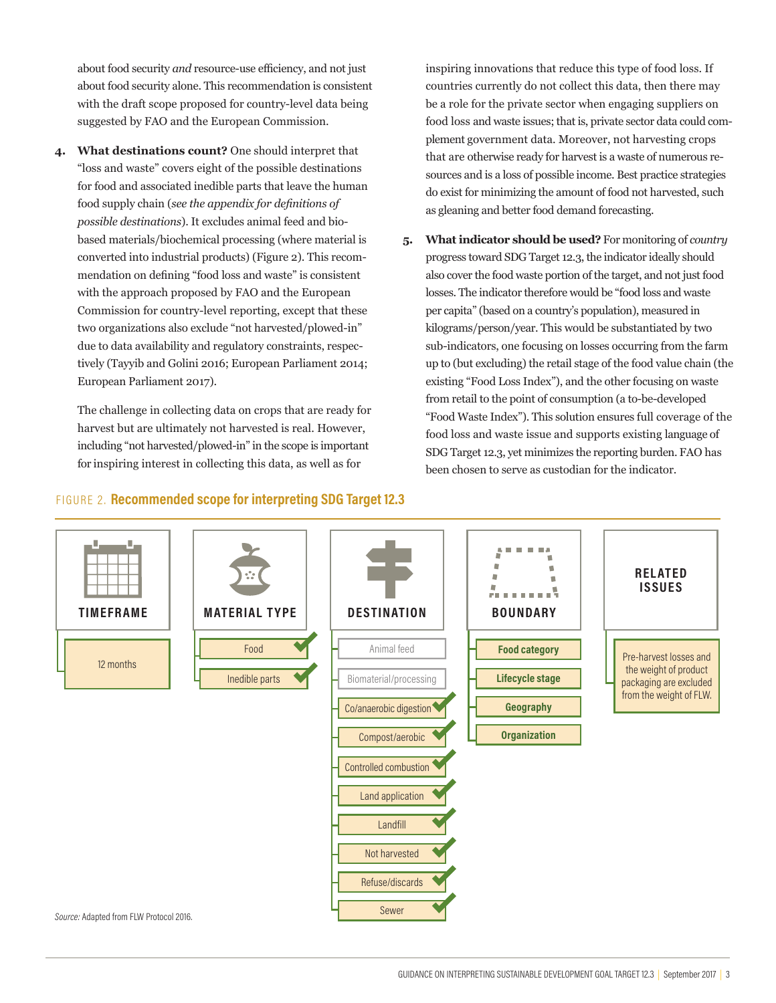about food security *and* resource-use efficiency, and not just about food security alone. This recommendation is consistent with the draft scope proposed for country-level data being suggested by FAO and the European Commission.

**4. What destinations count?** One should interpret that "loss and waste" covers eight of the possible destinations for food and associated inedible parts that leave the human food supply chain (*see the appendix for definitions of possible destinations*). It excludes animal feed and biobased materials/biochemical processing (where material is converted into industrial products) (Figure 2). This recommendation on defining "food loss and waste" is consistent with the approach proposed by FAO and the European Commission for country-level reporting, except that these two organizations also exclude "not harvested/plowed-in" due to data availability and regulatory constraints, respectively (Tayyib and Golini 2016; European Parliament 2014; European Parliament 2017).

The challenge in collecting data on crops that are ready for harvest but are ultimately not harvested is real. However, including "not harvested/plowed-in" in the scope is important for inspiring interest in collecting this data, as well as for

inspiring innovations that reduce this type of food loss. If countries currently do not collect this data, then there may be a role for the private sector when engaging suppliers on food loss and waste issues; that is, private sector data could complement government data. Moreover, not harvesting crops that are otherwise ready for harvest is a waste of numerous resources and is a loss of possible income. Best practice strategies do exist for minimizing the amount of food not harvested, such as gleaning and better food demand forecasting.

**5. What indicator should be used?** For monitoring of *country* progress toward SDG Target 12.3, the indicator ideally should also cover the food waste portion of the target, and not just food losses. The indicator therefore would be "food loss and waste per capita" (based on a country's population), measured in kilograms/person/year. This would be substantiated by two sub-indicators, one focusing on losses occurring from the farm up to (but excluding) the retail stage of the food value chain (the existing "Food Loss Index"), and the other focusing on waste from retail to the point of consumption (a to-be-developed "Food Waste Index"). This solution ensures full coverage of the food loss and waste issue and supports existing language of SDG Target 12.3, yet minimizes the reporting burden. FAO has been chosen to serve as custodian for the indicator.

#### *Source:* Adapted from FLW Protocol 2016. 12 months <code>TIMEFRAME | | MATERIAL TYPE</code>  $\vert$  <code>DESTINATION</code>  $\vert$  <code>BOUNDARY</code> **RELATED ISSUES** Pre-harvest losses and the weight of product packaging are excluded from the weight of FLW. **Organization Geography Lifecycle stage** Food  $H$  **H** Animal feed **H** Food category  $I$ nedible parts  $H$   $H$  Biomaterial/processing Co/anaerobic digestion Compost/aerobic Controlled combustion Land application Not harvested Landfill Refuse/discards Sewer

#### FIGURE 2. **Recommended scope for interpreting SDG Target 12.3**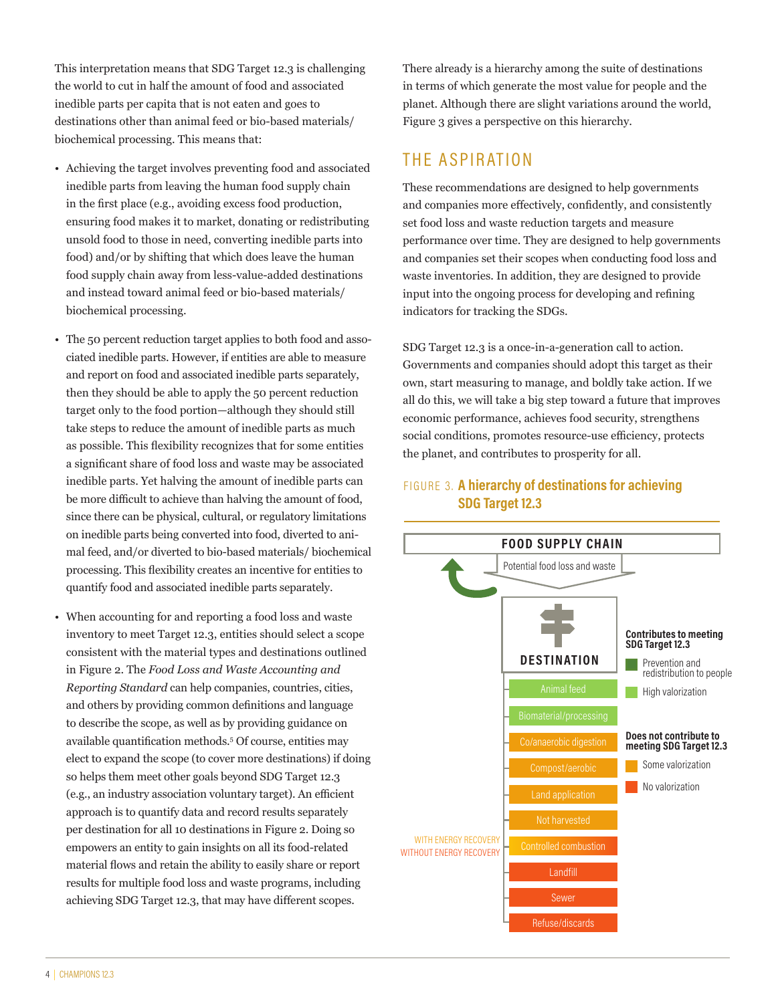This interpretation means that SDG Target 12.3 is challenging the world to cut in half the amount of food and associated inedible parts per capita that is not eaten and goes to destinations other than animal feed or bio-based materials/ biochemical processing. This means that:

- Achieving the target involves preventing food and associated inedible parts from leaving the human food supply chain in the first place (e.g., avoiding excess food production, ensuring food makes it to market, donating or redistributing unsold food to those in need, converting inedible parts into food) and/or by shifting that which does leave the human food supply chain away from less-value-added destinations and instead toward animal feed or bio-based materials/ biochemical processing.
- The 50 percent reduction target applies to both food and associated inedible parts. However, if entities are able to measure and report on food and associated inedible parts separately, then they should be able to apply the 50 percent reduction target only to the food portion—although they should still take steps to reduce the amount of inedible parts as much as possible. This flexibility recognizes that for some entities a significant share of food loss and waste may be associated inedible parts. Yet halving the amount of inedible parts can be more difficult to achieve than halving the amount of food, since there can be physical, cultural, or regulatory limitations on inedible parts being converted into food, diverted to animal feed, and/or diverted to bio-based materials/ biochemical processing. This flexibility creates an incentive for entities to quantify food and associated inedible parts separately.
- When accounting for and reporting a food loss and waste inventory to meet Target 12.3, entities should select a scope consistent with the material types and destinations outlined in Figure 2. The *Food Loss and Waste Accounting and Reporting Standard* can help companies, countries, cities, and others by providing common definitions and language to describe the scope, as well as by providing guidance on available quantification methods.<sup>5</sup> Of course, entities may elect to expand the scope (to cover more destinations) if doing so helps them meet other goals beyond SDG Target 12.3 (e.g., an industry association voluntary target). An efficient approach is to quantify data and record results separately per destination for all 10 destinations in Figure 2. Doing so empowers an entity to gain insights on all its food-related material flows and retain the ability to easily share or report results for multiple food loss and waste programs, including achieving SDG Target 12.3, that may have different scopes.

There already is a hierarchy among the suite of destinations in terms of which generate the most value for people and the planet. Although there are slight variations around the world, Figure 3 gives a perspective on this hierarchy.

## THE ASPIRATION

These recommendations are designed to help governments and companies more effectively, confidently, and consistently set food loss and waste reduction targets and measure performance over time. They are designed to help governments and companies set their scopes when conducting food loss and waste inventories. In addition, they are designed to provide input into the ongoing process for developing and refining indicators for tracking the SDGs.

SDG Target 12.3 is a once-in-a-generation call to action. Governments and companies should adopt this target as their own, start measuring to manage, and boldly take action. If we all do this, we will take a big step toward a future that improves economic performance, achieves food security, strengthens social conditions, promotes resource-use efficiency, protects the planet, and contributes to prosperity for all.

#### FIGURE 3. **A hierarchy of destinations for achieving SDG Target 12.3**

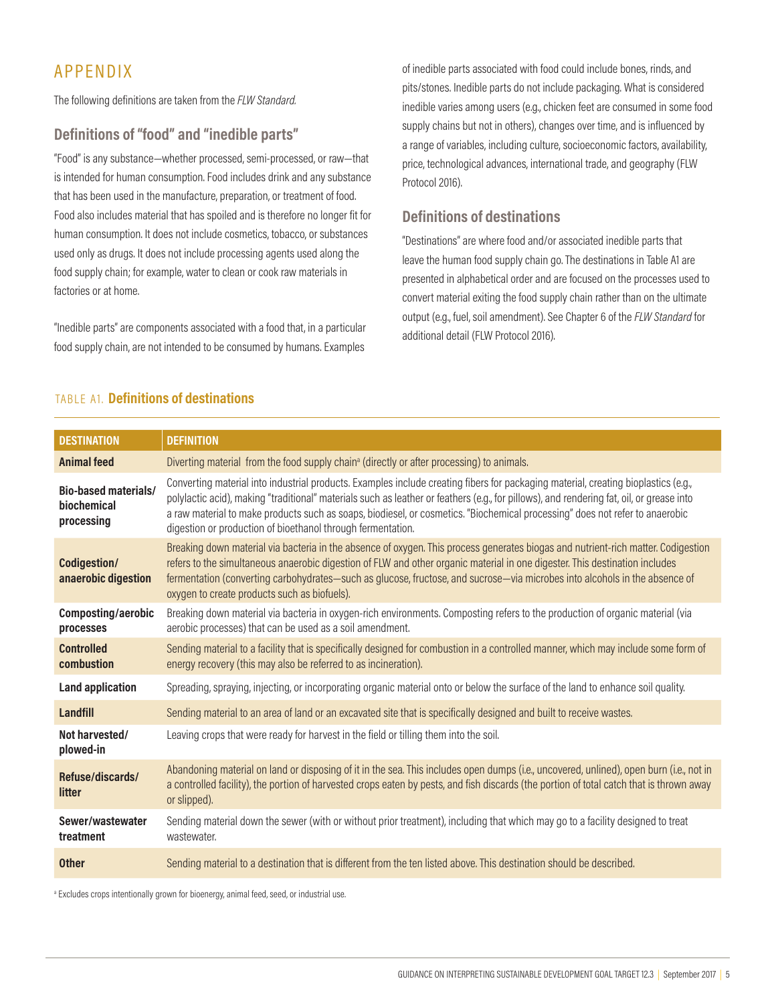## APPENDIX

The following definitions are taken from the *FLW Standard.*

#### **Definitions of "food" and "inedible parts"**

"Food" is any substance—whether processed, semi-processed, or raw—that is intended for human consumption. Food includes drink and any substance that has been used in the manufacture, preparation, or treatment of food. Food also includes material that has spoiled and is therefore no longer fit for human consumption. It does not include cosmetics, tobacco, or substances used only as drugs. It does not include processing agents used along the food supply chain; for example, water to clean or cook raw materials in factories or at home.

"Inedible parts" are components associated with a food that, in a particular food supply chain, are not intended to be consumed by humans. Examples

of inedible parts associated with food could include bones, rinds, and pits/stones. Inedible parts do not include packaging. What is considered inedible varies among users (e.g., chicken feet are consumed in some food supply chains but not in others), changes over time, and is influenced by a range of variables, including culture, socioeconomic factors, availability, price, technological advances, international trade, and geography (FLW Protocol 2016).

#### **Definitions of destinations**

"Destinations" are where food and/or associated inedible parts that leave the human food supply chain go. The destinations in Table A1 are presented in alphabetical order and are focused on the processes used to convert material exiting the food supply chain rather than on the ultimate output (e.g., fuel, soil amendment). See Chapter 6 of the *FLW Standard* for additional detail (FLW Protocol 2016).

#### TABLE A1. **Definitions of destinations**

| <b>DESTINATION</b>                                       | <b>DEFINITION</b>                                                                                                                                                                                                                                                                                                                                                                                                                                                             |  |  |
|----------------------------------------------------------|-------------------------------------------------------------------------------------------------------------------------------------------------------------------------------------------------------------------------------------------------------------------------------------------------------------------------------------------------------------------------------------------------------------------------------------------------------------------------------|--|--|
| <b>Animal feed</b>                                       | Diverting material from the food supply chain <sup>a</sup> (directly or after processing) to animals.                                                                                                                                                                                                                                                                                                                                                                         |  |  |
| <b>Bio-based materials/</b><br>biochemical<br>processing | Converting material into industrial products. Examples include creating fibers for packaging material, creating bioplastics (e.g.,<br>polylactic acid), making "traditional" materials such as leather or feathers (e.g., for pillows), and rendering fat, oil, or grease into<br>a raw material to make products such as soaps, biodiesel, or cosmetics. "Biochemical processing" does not refer to anaerobic<br>digestion or production of bioethanol through fermentation. |  |  |
| Codigestion/<br>anaerobic digestion                      | Breaking down material via bacteria in the absence of oxygen. This process generates biogas and nutrient-rich matter. Codigestion<br>refers to the simultaneous anaerobic digestion of FLW and other organic material in one digester. This destination includes<br>fermentation (converting carbohydrates-such as glucose, fructose, and sucrose-via microbes into alcohols in the absence of<br>oxygen to create products such as biofuels).                                |  |  |
| Composting/aerobic<br>processes                          | Breaking down material via bacteria in oxygen-rich environments. Composting refers to the production of organic material (via<br>aerobic processes) that can be used as a soil amendment.                                                                                                                                                                                                                                                                                     |  |  |
| <b>Controlled</b><br>combustion                          | Sending material to a facility that is specifically designed for combustion in a controlled manner, which may include some form of<br>energy recovery (this may also be referred to as incineration).                                                                                                                                                                                                                                                                         |  |  |
| <b>Land application</b>                                  | Spreading, spraying, injecting, or incorporating organic material onto or below the surface of the land to enhance soil quality.                                                                                                                                                                                                                                                                                                                                              |  |  |
| Landfill                                                 | Sending material to an area of land or an excavated site that is specifically designed and built to receive wastes.                                                                                                                                                                                                                                                                                                                                                           |  |  |
| Not harvested/<br>plowed-in                              | Leaving crops that were ready for harvest in the field or tilling them into the soil.                                                                                                                                                                                                                                                                                                                                                                                         |  |  |
| Refuse/discards/<br>litter                               | Abandoning material on land or disposing of it in the sea. This includes open dumps (i.e., uncovered, unlined), open burn (i.e., not in<br>a controlled facility), the portion of harvested crops eaten by pests, and fish discards (the portion of total catch that is thrown away<br>or slipped).                                                                                                                                                                           |  |  |
| Sewer/wastewater<br>treatment                            | Sending material down the sewer (with or without prior treatment), including that which may go to a facility designed to treat<br>wastewater.                                                                                                                                                                                                                                                                                                                                 |  |  |
| <b>Other</b>                                             | Sending material to a destination that is different from the ten listed above. This destination should be described.                                                                                                                                                                                                                                                                                                                                                          |  |  |

<sup>a</sup> Excludes crops intentionally grown for bioenergy, animal feed, seed, or industrial use.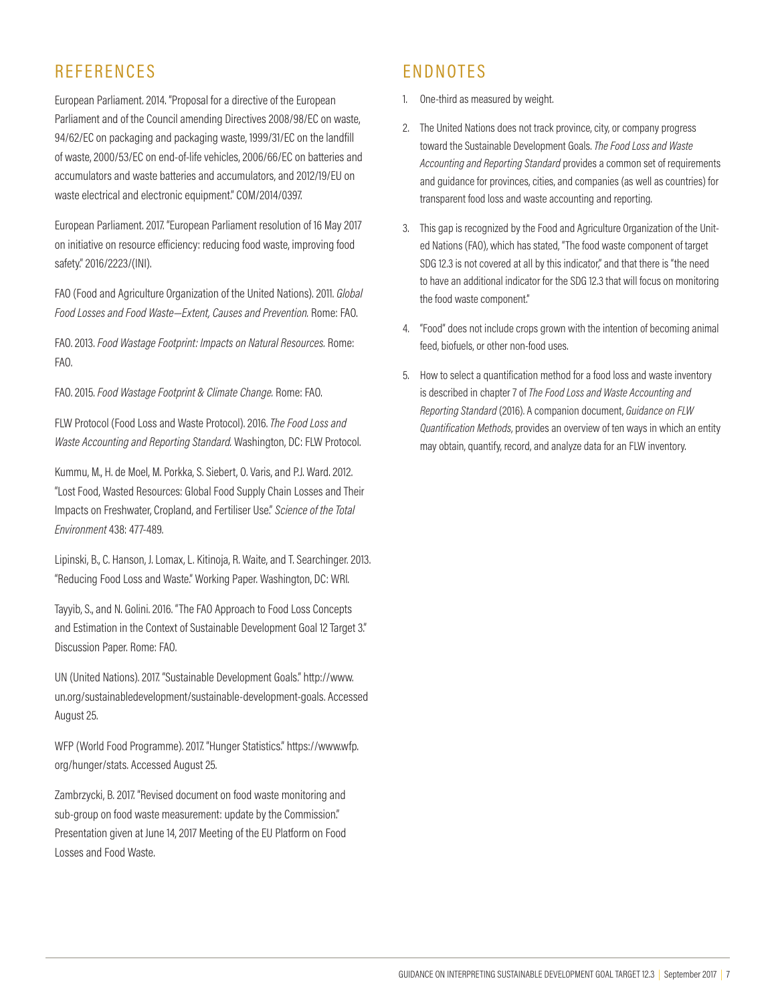## **REFERENCES**

European Parliament. 2014. "Proposal for a directive of the European Parliament and of the Council amending Directives 2008/98/EC on waste, 94/62/EC on packaging and packaging waste, 1999/31/EC on the landfill of waste, 2000/53/EC on end-of-life vehicles, 2006/66/EC on batteries and accumulators and waste batteries and accumulators, and 2012/19/EU on waste electrical and electronic equipment." COM/2014/0397.

European Parliament. 2017. "European Parliament resolution of 16 May 2017 on initiative on resource efficiency: reducing food waste, improving food safety." 2016/2223/(INI).

FAO (Food and Agriculture Organization of the United Nations). 2011. *Global Food Losses and Food Waste—Extent, Causes and Prevention.* Rome: FAO.

FAO. 2013. *Food Wastage Footprint: Impacts on Natural Resources.* Rome: FAO.

FAO. 2015. *Food Wastage Footprint & Climate Change.* Rome: FAO.

FLW Protocol (Food Loss and Waste Protocol). 2016. *The Food Loss and Waste Accounting and Reporting Standard.* Washington, DC: FLW Protocol.

Kummu, M., H. de Moel, M. Porkka, S. Siebert, O. Varis, and P.J. Ward. 2012. "Lost Food, Wasted Resources: Global Food Supply Chain Losses and Their Impacts on Freshwater, Cropland, and Fertiliser Use." *Science of the Total Environment* 438: 477-489.

Lipinski, B., C. Hanson, J. Lomax, L. Kitinoja, R. Waite, and T. Searchinger. 2013. "Reducing Food Loss and Waste." Working Paper. Washington, DC: WRI.

Tayyib, S., and N. Golini. 2016. "The FAO Approach to Food Loss Concepts and Estimation in the Context of Sustainable Development Goal 12 Target 3." Discussion Paper. Rome: FAO.

UN (United Nations). 2017. "Sustainable Development Goals." http://www. un.org/sustainabledevelopment/sustainable-development-goals. Accessed August 25.

WFP (World Food Programme). 2017. "Hunger Statistics." https://www.wfp. org/hunger/stats. Accessed August 25.

Zambrzycki, B. 2017. "Revised document on food waste monitoring and sub-group on food waste measurement: update by the Commission." Presentation given at June 14, 2017 Meeting of the EU Platform on Food Losses and Food Waste.

## ENDNOTES

- 1. One-third as measured by weight.
- 2. The United Nations does not track province, city, or company progress toward the Sustainable Development Goals. *The Food Loss and Waste Accounting and Reporting Standard* provides a common set of requirements and guidance for provinces, cities, and companies (as well as countries) for transparent food loss and waste accounting and reporting.
- 3. This gap is recognized by the Food and Agriculture Organization of the United Nations (FAO), which has stated, "The food waste component of target SDG 12.3 is not covered at all by this indicator," and that there is "the need to have an additional indicator for the SDG 12.3 that will focus on monitoring the food waste component."
- 4. "Food" does not include crops grown with the intention of becoming animal feed, biofuels, or other non-food uses.
- 5. How to select a quantification method for a food loss and waste inventory is described in chapter 7 of *The Food Loss and Waste Accounting and Reporting Standard* (2016). A companion document, *Guidance on FLW Quantification Methods*, provides an overview of ten ways in which an entity may obtain, quantify, record, and analyze data for an FLW inventory.